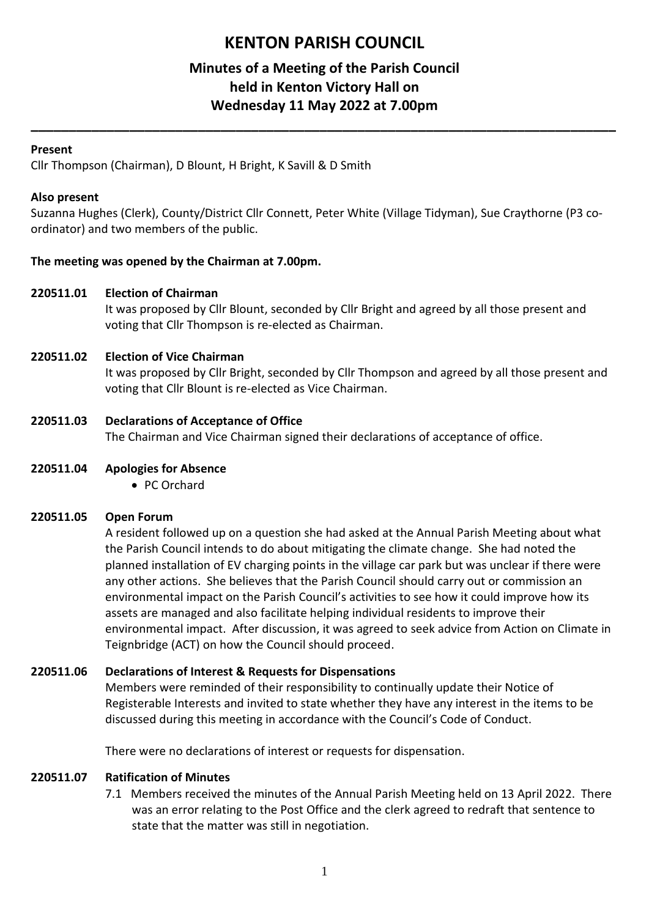# **KENTON PARISH COUNCIL**

# **Minutes of a Meeting of the Parish Council held in Kenton Victory Hall on Wednesday 11 May 2022 at 7.00pm**

**\_\_\_\_\_\_\_\_\_\_\_\_\_\_\_\_\_\_\_\_\_\_\_\_\_\_\_\_\_\_\_\_\_\_\_\_\_\_\_\_\_\_\_\_\_\_\_\_\_\_\_\_\_\_\_\_\_\_\_\_\_\_\_\_\_\_\_\_\_\_\_\_\_\_\_\_\_**

## **Present**

Cllr Thompson (Chairman), D Blount, H Bright, K Savill & D Smith

## **Also present**

Suzanna Hughes (Clerk), County/District Cllr Connett, Peter White (Village Tidyman), Sue Craythorne (P3 coordinator) and two members of the public.

# **The meeting was opened by the Chairman at 7.00pm.**

### **220511.01 Election of Chairman**

It was proposed by Cllr Blount, seconded by Cllr Bright and agreed by all those present and voting that Cllr Thompson is re-elected as Chairman.

# **220511.02 Election of Vice Chairman**

It was proposed by Cllr Bright, seconded by Cllr Thompson and agreed by all those present and voting that Cllr Blount is re-elected as Vice Chairman.

# **220511.03 Declarations of Acceptance of Office**

The Chairman and Vice Chairman signed their declarations of acceptance of office.

### **220511.04 Apologies for Absence**

• PC Orchard

### **220511.05 Open Forum**

A resident followed up on a question she had asked at the Annual Parish Meeting about what the Parish Council intends to do about mitigating the climate change. She had noted the planned installation of EV charging points in the village car park but was unclear if there were any other actions. She believes that the Parish Council should carry out or commission an environmental impact on the Parish Council's activities to see how it could improve how its assets are managed and also facilitate helping individual residents to improve their environmental impact. After discussion, it was agreed to seek advice from Action on Climate in Teignbridge (ACT) on how the Council should proceed.

### **220511.06 Declarations of Interest & Requests for Dispensations**

Members were reminded of their responsibility to continually update their Notice of Registerable Interests and invited to state whether they have any interest in the items to be discussed during this meeting in accordance with the Council's Code of Conduct.

There were no declarations of interest or requests for dispensation.

### **220511.07 Ratification of Minutes**

7.1 Members received the minutes of the Annual Parish Meeting held on 13 April 2022. There was an error relating to the Post Office and the clerk agreed to redraft that sentence to state that the matter was still in negotiation.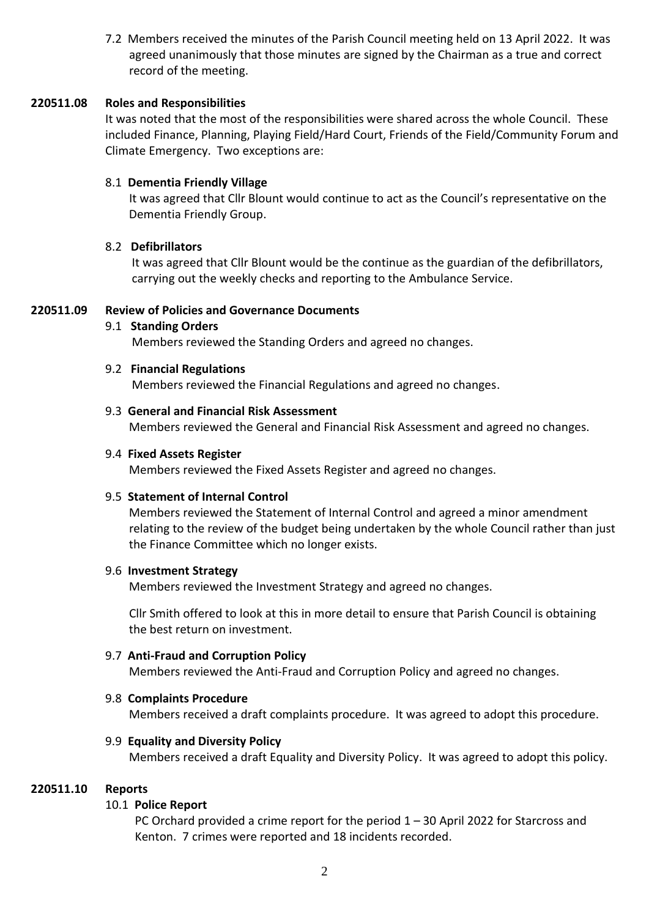7.2 Members received the minutes of the Parish Council meeting held on 13 April 2022. It was agreed unanimously that those minutes are signed by the Chairman as a true and correct record of the meeting.

### **220511.08 Roles and Responsibilities**

It was noted that the most of the responsibilities were shared across the whole Council. These included Finance, Planning, Playing Field/Hard Court, Friends of the Field/Community Forum and Climate Emergency. Two exceptions are:

### 8.1 **Dementia Friendly Village**

 It was agreed that Cllr Blount would continue to act as the Council's representative on the Dementia Friendly Group.

### 8.2 **Defibrillators**

 It was agreed that Cllr Blount would be the continue as the guardian of the defibrillators, carrying out the weekly checks and reporting to the Ambulance Service.

#### **220511.09 Review of Policies and Governance Documents**

#### 9.1 **Standing Orders**

Members reviewed the Standing Orders and agreed no changes.

#### 9.2 **Financial Regulations**

Members reviewed the Financial Regulations and agreed no changes.

#### 9.3 **General and Financial Risk Assessment**

Members reviewed the General and Financial Risk Assessment and agreed no changes.

#### 9.4 **Fixed Assets Register**

Members reviewed the Fixed Assets Register and agreed no changes.

#### 9.5 **Statement of Internal Control**

 Members reviewed the Statement of Internal Control and agreed a minor amendment relating to the review of the budget being undertaken by the whole Council rather than just the Finance Committee which no longer exists.

#### 9.6 **Investment Strategy**

Members reviewed the Investment Strategy and agreed no changes.

 Cllr Smith offered to look at this in more detail to ensure that Parish Council is obtaining the best return on investment.

#### 9.7 **Anti-Fraud and Corruption Policy**

Members reviewed the Anti-Fraud and Corruption Policy and agreed no changes.

#### 9.8 **Complaints Procedure**

Members received a draft complaints procedure. It was agreed to adopt this procedure.

#### 9.9 **Equality and Diversity Policy**

Members received a draft Equality and Diversity Policy. It was agreed to adopt this policy.

#### **220511.10 Reports**

### 10.1 **Police Report**

 PC Orchard provided a crime report for the period 1 – 30 April 2022 for Starcross and Kenton. 7 crimes were reported and 18 incidents recorded.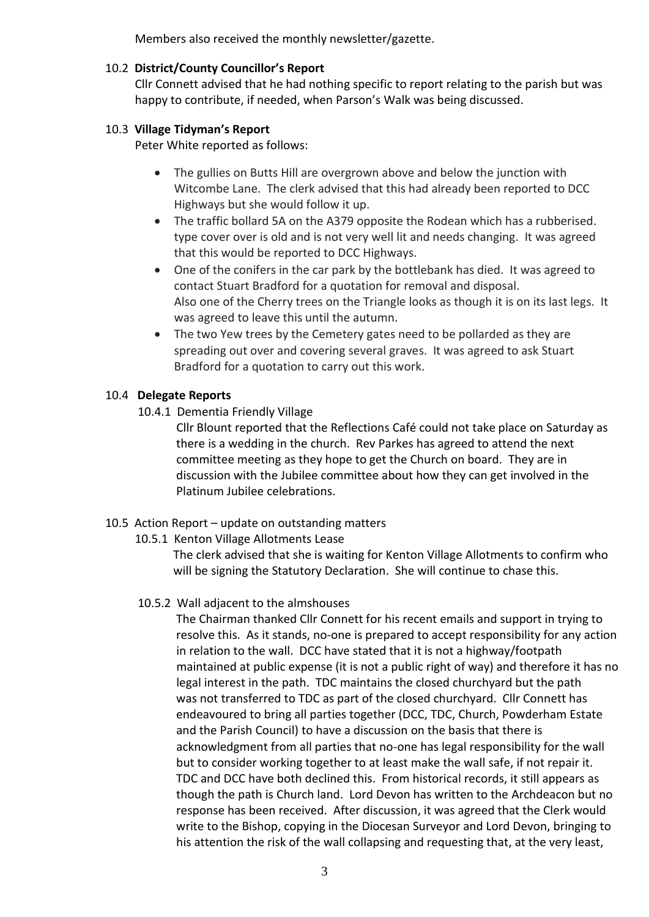Members also received the monthly newsletter/gazette.

# 10.2 **District/County Councillor's Report**

Cllr Connett advised that he had nothing specific to report relating to the parish but was happy to contribute, if needed, when Parson's Walk was being discussed.

# 10.3 **Village Tidyman's Report**

Peter White reported as follows:

- The gullies on Butts Hill are overgrown above and below the junction with Witcombe Lane. The clerk advised that this had already been reported to DCC Highways but she would follow it up.
- The traffic bollard 5A on the A379 opposite the Rodean which has a rubberised. type cover over is old and is not very well lit and needs changing. It was agreed that this would be reported to DCC Highways.
- One of the conifers in the car park by the bottlebank has died. It was agreed to contact Stuart Bradford for a quotation for removal and disposal. Also one of the Cherry trees on the Triangle looks as though it is on its last legs. It was agreed to leave this until the autumn.
- The two Yew trees by the Cemetery gates need to be pollarded as they are spreading out over and covering several graves. It was agreed to ask Stuart Bradford for a quotation to carry out this work.

# 10.4 **Delegate Reports**

10.4.1 Dementia Friendly Village

 Cllr Blount reported that the Reflections Café could not take place on Saturday as there is a wedding in the church. Rev Parkes has agreed to attend the next committee meeting as they hope to get the Church on board. They are in discussion with the Jubilee committee about how they can get involved in the Platinum Jubilee celebrations.

# 10.5 Action Report – update on outstanding matters

10.5.1 Kenton Village Allotments Lease

 The clerk advised that she is waiting for Kenton Village Allotments to confirm who will be signing the Statutory Declaration. She will continue to chase this.

# 10.5.2 Wall adjacent to the almshouses

 The Chairman thanked Cllr Connett for his recent emails and support in trying to resolve this. As it stands, no-one is prepared to accept responsibility for any action in relation to the wall. DCC have stated that it is not a highway/footpath maintained at public expense (it is not a public right of way) and therefore it has no legal interest in the path. TDC maintains the closed churchyard but the path was not transferred to TDC as part of the closed churchyard. Cllr Connett has endeavoured to bring all parties together (DCC, TDC, Church, Powderham Estate and the Parish Council) to have a discussion on the basis that there is acknowledgment from all parties that no-one has legal responsibility for the wall but to consider working together to at least make the wall safe, if not repair it. TDC and DCC have both declined this. From historical records, it still appears as though the path is Church land. Lord Devon has written to the Archdeacon but no response has been received. After discussion, it was agreed that the Clerk would write to the Bishop, copying in the Diocesan Surveyor and Lord Devon, bringing to his attention the risk of the wall collapsing and requesting that, at the very least,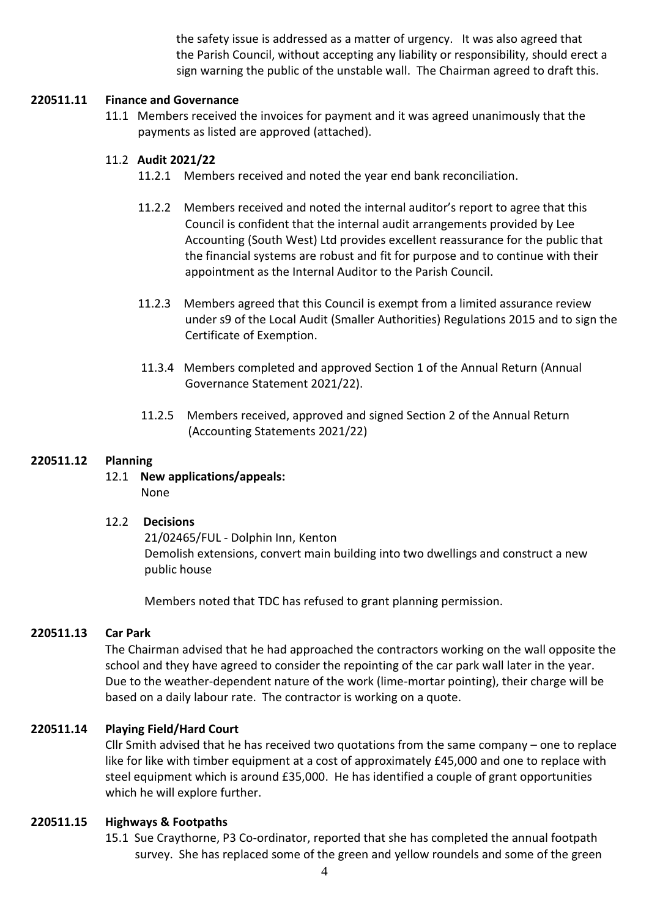the safety issue is addressed as a matter of urgency. It was also agreed that the Parish Council, without accepting any liability or responsibility, should erect a sign warning the public of the unstable wall. The Chairman agreed to draft this.

## **220511.11 Finance and Governance**

11.1 Members received the invoices for payment and it was agreed unanimously that the payments as listed are approved (attached).

# 11.2 **Audit 2021/22**

- 11.2.1 Members received and noted the year end bank reconciliation.
- 11.2.2 Members received and noted the internal auditor's report to agree that this Council is confident that the internal audit arrangements provided by Lee Accounting (South West) Ltd provides excellent reassurance for the public that the financial systems are robust and fit for purpose and to continue with their appointment as the Internal Auditor to the Parish Council.
- 11.2.3 Members agreed that this Council is exempt from a limited assurance review under s9 of the Local Audit (Smaller Authorities) Regulations 2015 and to sign the Certificate of Exemption.
- 11.3.4 Members completed and approved Section 1 of the Annual Return (Annual Governance Statement 2021/22).
- 11.2.5 Members received, approved and signed Section 2 of the Annual Return (Accounting Statements 2021/22)

# **220511.12 Planning**

12.1 **New applications/appeals:** None

### 12.2 **Decisions**

21/02465/FUL - Dolphin Inn, Kenton Demolish extensions, convert main building into two dwellings and construct a new public house

Members noted that TDC has refused to grant planning permission.

### **220511.13 Car Park**

The Chairman advised that he had approached the contractors working on the wall opposite the school and they have agreed to consider the repointing of the car park wall later in the year. Due to the weather-dependent nature of the work (lime-mortar pointing), their charge will be based on a daily labour rate. The contractor is working on a quote.

### **220511.14 Playing Field/Hard Court**

Cllr Smith advised that he has received two quotations from the same company – one to replace like for like with timber equipment at a cost of approximately £45,000 and one to replace with steel equipment which is around £35,000. He has identified a couple of grant opportunities which he will explore further.

### **220511.15 Highways & Footpaths**

15.1 Sue Craythorne, P3 Co-ordinator, reported that she has completed the annual footpath survey. She has replaced some of the green and yellow roundels and some of the green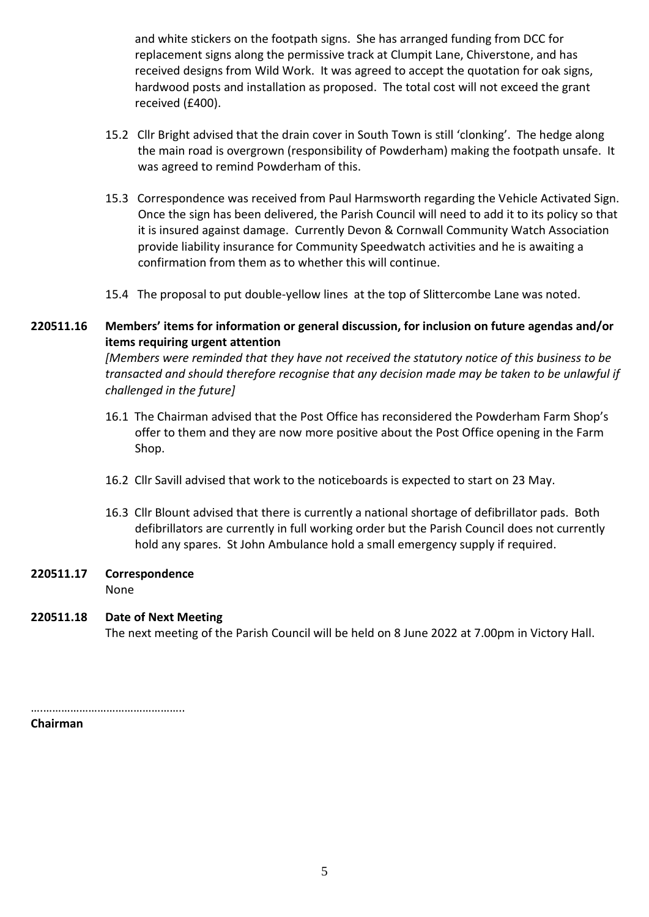and white stickers on the footpath signs. She has arranged funding from DCC for replacement signs along the permissive track at Clumpit Lane, Chiverstone, and has received designs from Wild Work. It was agreed to accept the quotation for oak signs, hardwood posts and installation as proposed. The total cost will not exceed the grant received (£400).

- 15.2 Cllr Bright advised that the drain cover in South Town is still 'clonking'. The hedge along the main road is overgrown (responsibility of Powderham) making the footpath unsafe. It was agreed to remind Powderham of this.
- 15.3 Correspondence was received from Paul Harmsworth regarding the Vehicle Activated Sign. Once the sign has been delivered, the Parish Council will need to add it to its policy so that it is insured against damage. Currently Devon & Cornwall Community Watch Association provide liability insurance for Community Speedwatch activities and he is awaiting a confirmation from them as to whether this will continue.
- 15.4 The proposal to put double-yellow lines at the top of Slittercombe Lane was noted.

# **220511.16 Members' items for information or general discussion, for inclusion on future agendas and/or items requiring urgent attention**

*[Members were reminded that they have not received the statutory notice of this business to be transacted and should therefore recognise that any decision made may be taken to be unlawful if challenged in the future]*

- 16.1 The Chairman advised that the Post Office has reconsidered the Powderham Farm Shop's offer to them and they are now more positive about the Post Office opening in the Farm Shop.
- 16.2 Cllr Savill advised that work to the noticeboards is expected to start on 23 May.
- 16.3 Cllr Blount advised that there is currently a national shortage of defibrillator pads. Both defibrillators are currently in full working order but the Parish Council does not currently hold any spares. St John Ambulance hold a small emergency supply if required.
- **220511.17 Correspondence**

None

# **220511.18 Date of Next Meeting**

The next meeting of the Parish Council will be held on 8 June 2022 at 7.00pm in Victory Hall.

……………………………………………

**Chairman**